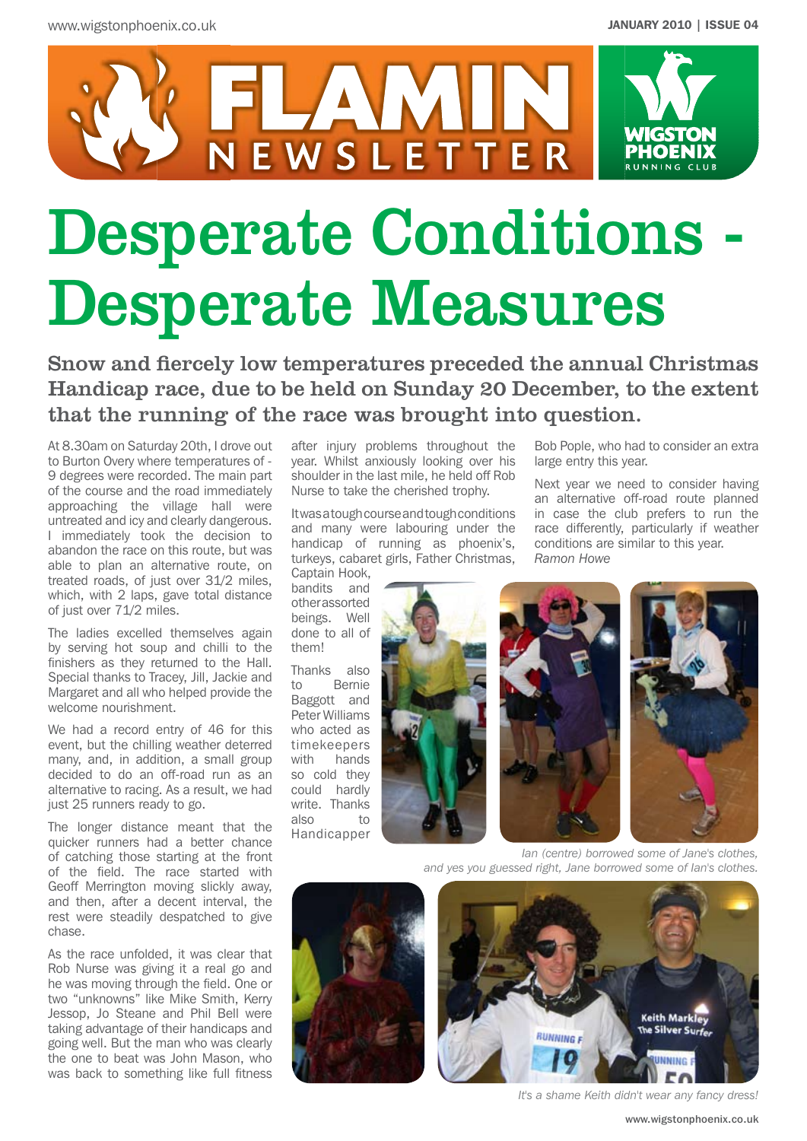

# Desperate Conditions - Desperate Measures

Snow and fiercely low temperatures preceded the annual Christmas Handicap race, due to be held on Sunday 20 December, to the extent that the running of the race was brought into question.

At 8.30am on Saturday 20th, I drove out to Burton Overy where temperatures of - 9 degrees were recorded. The main part of the course and the road immediately approaching the village hall were untreated and icy and clearly dangerous. I immediately took the decision to abandon the race on this route, but was able to plan an alternative route, on treated roads, of just over 31/2 miles, which, with 2 laps, gave total distance of just over 71/2 miles.

The ladies excelled themselves again by serving hot soup and chilli to the finishers as they returned to the Hall. Special thanks to Tracey, Jill, Jackie and Margaret and all who helped provide the welcome nourishment.

We had a record entry of 46 for this event, but the chilling weather deterred many, and, in addition, a small group decided to do an off-road run as an alternative to racing. As a result, we had just 25 runners ready to go.

The longer distance meant that the quicker runners had a better chance of catching those starting at the front of the field. The race started with Geoff Merrington moving slickly away, and then, after a decent interval, the rest were steadily despatched to give chase.

As the race unfolded, it was clear that Rob Nurse was giving it a real go and he was moving through the field. One or two "unknowns" like Mike Smith, Kerry Jessop, Jo Steane and Phil Bell were taking advantage of their handicaps and going well. But the man who was clearly the one to beat was John Mason, who was back to something like full fitness

after injury problems throughout the year. Whilst anxiously looking over his shoulder in the last mile, he held off Rob Nurse to take the cherished trophy.

Itwasatoughcourseandtoughconditions and many were labouring under the handicap of running as phoenix's, turkeys, cabaret girls, Father Christmas,

Captain Hook, bandits and otherassorted beings. Well done to all of them!

Thanks also to Bernie Baggott and Peter Williams who acted as timekeepers with hands so cold they could hardly write. Thanks also to Handicapper







Bob Pople, who had to consider an extra

Next year we need to consider having an alternative off-road route planned in case the club prefers to run the race differently, particularly if weather conditions are similar to this year.

large entry this year.

*Ramon Howe* 

*Ian (centre) borrowed some of Jane's clothes, and yes you guessed right, Jane borrowed some of Ian's clothes.*





*It's a shame Keith didn't wear any fancy dress!*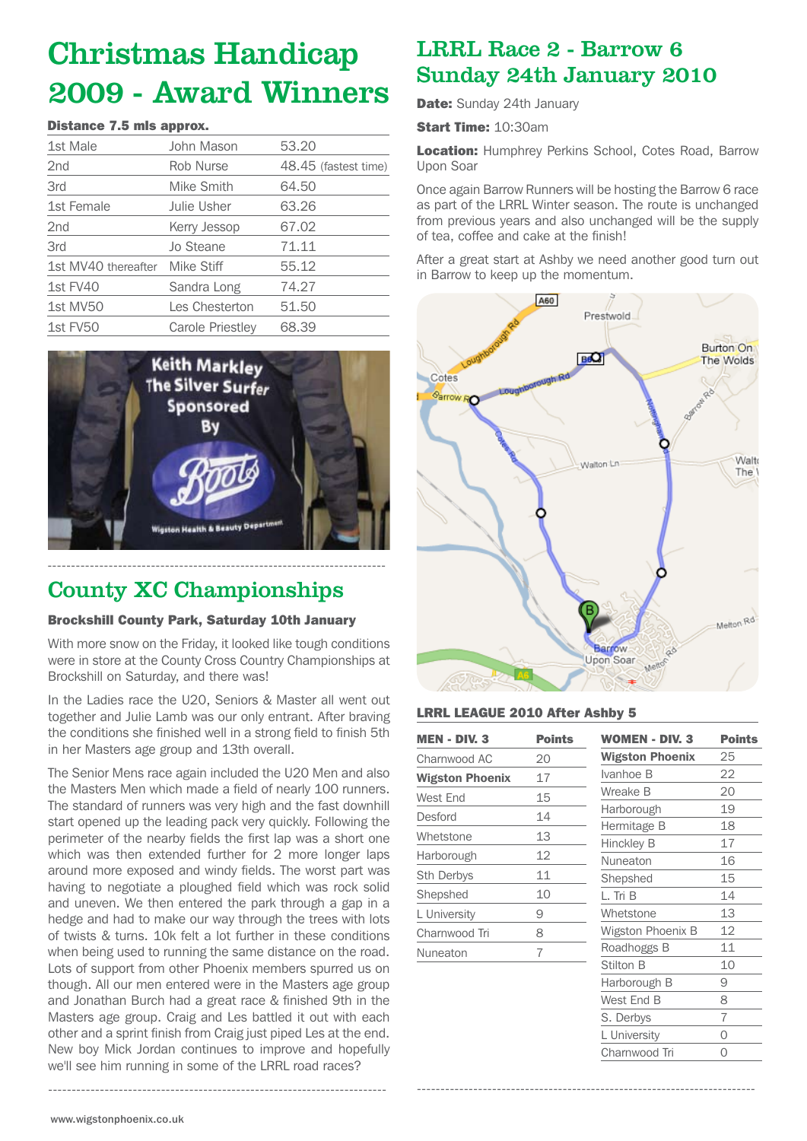## Christmas Handicap 2009 - Award Winners

#### Distance 7.5 mls approx.

| 1st Male            | John Mason              | 53.20                |
|---------------------|-------------------------|----------------------|
| 2 <sub>nd</sub>     | <b>Rob Nurse</b>        | 48.45 (fastest time) |
| 3rd                 | Mike Smith              | 64.50                |
| 1st Female          | Julie Usher             | 63.26                |
| 2 <sub>nd</sub>     | Kerry Jessop            | 67.02                |
| 3rd                 | Jo Steane               | 71.11                |
| 1st MV40 thereafter | Mike Stiff              | 55.12                |
| 1st FV40            | Sandra Long             | 74.27                |
| 1st MV50            | Les Chesterton          | 51.50                |
| 1st FV50            | <b>Carole Priestley</b> | 68.39                |



## County XC Championships

#### Brockshill County Park, Saturday 10th January

With more snow on the Friday, it looked like tough conditions were in store at the County Cross Country Championships at Brockshill on Saturday, and there was!

In the Ladies race the U20, Seniors & Master all went out together and Julie Lamb was our only entrant. After braving the conditions she finished well in a strong field to finish 5th in her Masters age group and 13th overall.

The Senior Mens race again included the U20 Men and also the Masters Men which made a field of nearly 100 runners. The standard of runners was very high and the fast downhill start opened up the leading pack very quickly. Following the perimeter of the nearby fields the first lap was a short one which was then extended further for 2 more longer laps around more exposed and windy fields. The worst part was having to negotiate a ploughed field which was rock solid and uneven. We then entered the park through a gap in a hedge and had to make our way through the trees with lots of twists & turns. 10k felt a lot further in these conditions when being used to running the same distance on the road. Lots of support from other Phoenix members spurred us on though. All our men entered were in the Masters age group and Jonathan Burch had a great race & finished 9th in the Masters age group. Craig and Les battled it out with each other and a sprint finish from Craig just piped Les at the end. New boy Mick Jordan continues to improve and hopefully we'll see him running in some of the LRRL road races?

------------------------------------------------------------------------

### LRRL Race 2 - Barrow 6 Sunday 24th January 2010

Date: Sunday 24th January

Start Time: 10:30am

**Location:** Humphrey Perkins School, Cotes Road, Barrow Upon Soar

Once again Barrow Runners will be hosting the Barrow 6 race as part of the LRRL Winter season. The route is unchanged from previous years and also unchanged will be the supply of tea, coffee and cake at the finish!

After a great start at Ashby we need another good turn out in Barrow to keep up the momentum.



------------------------------------------------------------------------

#### LRRL LEAGUE 2010 After Ashby 5

| <b>MEN - DIV. 3</b>    | <b>Points</b> |
|------------------------|---------------|
| Charnwood AC           | 20            |
| <b>Wigston Phoenix</b> | 17            |
| West End               | 15            |
| Desford                | 14            |
| Whetstone              | 13            |
| Harborough             | 12            |
| <b>Sth Derbys</b>      | 11            |
| Shepshed               | 10            |
| L University           | 9             |
| Charnwood Tri          | 8             |
| Nuneaton               | 7             |

| WOMEN - DIV. 3         | <b>Points</b> |
|------------------------|---------------|
| <b>Wigston Phoenix</b> | 25            |
| Ivanhoe B              | 22            |
| Wreake B               | 20            |
| Harborough             | 19            |
| Hermitage B            | 18            |
| <b>Hinckley B</b>      | 17            |
| Nuneaton               | 16            |
| Shepshed               | 15            |
| L. Tri B               | 14            |
| Whetstone              | 13            |
| Wigston Phoenix B      | 12            |
| Roadhoggs B            | 11            |
| Stilton B              | 10            |
| Harborough B           | 9             |
| West End B             | 8             |
| S. Derbys              | 7             |
| L University           | 0             |
| Charnwood Tri          | $\Omega$      |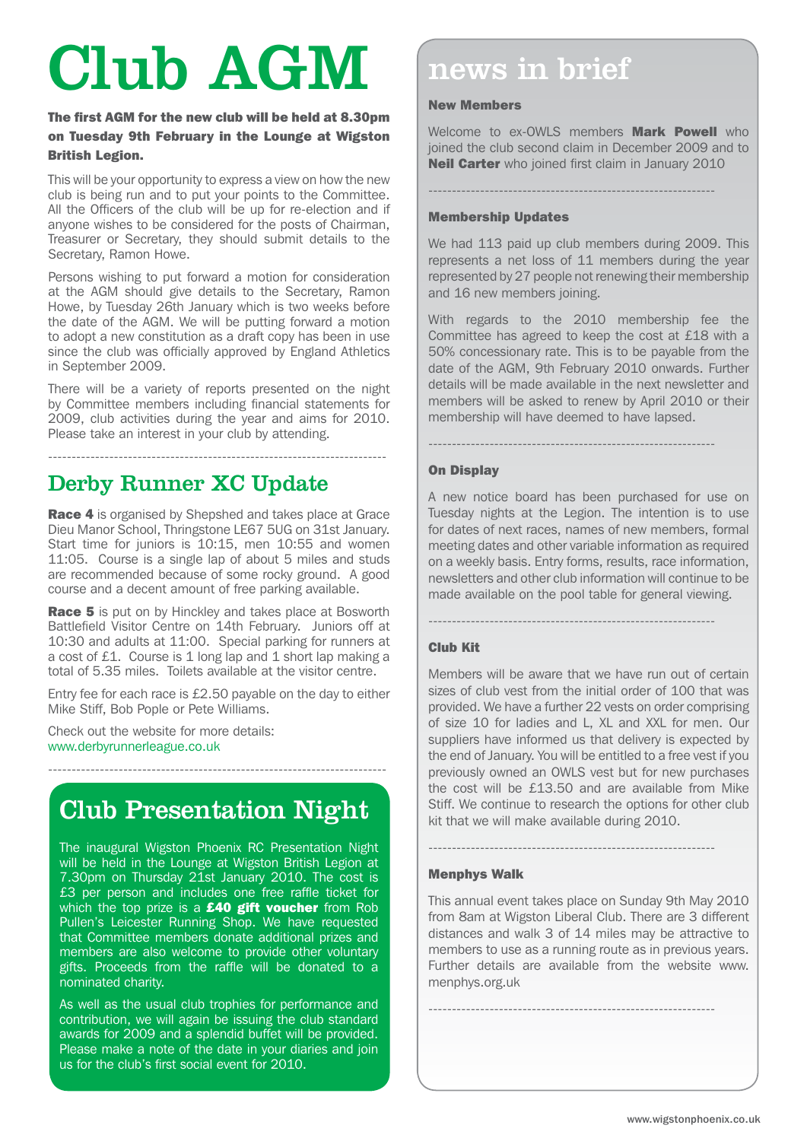# Club AGM news in brief

#### The first AGM for the new club will be held at 8.30pm on Tuesday 9th February in the Lounge at Wigston British Legion.

This will be your opportunity to express a view on how the new club is being run and to put your points to the Committee. All the Officers of the club will be up for re-election and if anyone wishes to be considered for the posts of Chairman, Treasurer or Secretary, they should submit details to the Secretary, Ramon Howe.

Persons wishing to put forward a motion for consideration at the AGM should give details to the Secretary, Ramon Howe, by Tuesday 26th January which is two weeks before the date of the AGM. We will be putting forward a motion to adopt a new constitution as a draft copy has been in use since the club was officially approved by England Athletics in September 2009.

There will be a variety of reports presented on the night by Committee members including financial statements for 2009, club activities during the year and aims for 2010. Please take an interest in your club by attending.

------------------------------------------------------------------------

## Derby Runner XC Update

Race 4 is organised by Shepshed and takes place at Grace Dieu Manor School, Thringstone LE67 5UG on 31st January. Start time for juniors is 10:15, men 10:55 and women 11:05. Course is a single lap of about 5 miles and studs are recommended because of some rocky ground. A good course and a decent amount of free parking available.

**Race 5** is put on by Hinckley and takes place at Bosworth Battlefield Visitor Centre on 14th February. Juniors off at 10:30 and adults at 11:00. Special parking for runners at a cost of £1. Course is 1 long lap and 1 short lap making a total of 5.35 miles. Toilets available at the visitor centre.

Entry fee for each race is £2.50 payable on the day to either Mike Stiff, Bob Pople or Pete Williams.

Check out the website for more details: www.derbyrunnerleague.co.uk

## Club Presentation Night

------------------------------------------------------------------------

The inaugural Wigston Phoenix RC Presentation Night will be held in the Lounge at Wigston British Legion at 7.30pm on Thursday 21st January 2010. The cost is £3 per person and includes one free raffle ticket for which the top prize is a **£40 gift voucher** from Rob Pullen's Leicester Running Shop. We have requested that Committee members donate additional prizes and members are also welcome to provide other voluntary gifts. Proceeds from the raffle will be donated to a nominated charity.

As well as the usual club trophies for performance and contribution, we will again be issuing the club standard awards for 2009 and a splendid buffet will be provided. Please make a note of the date in your diaries and join us for the club's first social event for 2010.

#### New Members

Welcome to ex-OWLS members **Mark Powell** who joined the club second claim in December 2009 and to **Neil Carter** who joined first claim in January 2010

-------------------------------------------------------------

#### Membership Updates

We had 113 paid up club members during 2009. This represents a net loss of 11 members during the year represented by 27 people not renewing their membership and 16 new members joining.

With regards to the 2010 membership fee the Committee has agreed to keep the cost at £18 with a 50% concessionary rate. This is to be payable from the date of the AGM, 9th February 2010 onwards. Further details will be made available in the next newsletter and members will be asked to renew by April 2010 or their membership will have deemed to have lapsed.

-------------------------------------------------------------

#### On Display

A new notice board has been purchased for use on Tuesday nights at the Legion. The intention is to use for dates of next races, names of new members, formal meeting dates and other variable information as required on a weekly basis. Entry forms, results, race information, newsletters and other club information will continue to be made available on the pool table for general viewing.

### -------------------------------------------------------------

#### Club Kit

Members will be aware that we have run out of certain sizes of club vest from the initial order of 100 that was provided. We have a further 22 vests on order comprising of size 10 for ladies and L, XL and XXL for men. Our suppliers have informed us that delivery is expected by the end of January. You will be entitled to a free vest if you previously owned an OWLS vest but for new purchases the cost will be £13.50 and are available from Mike Stiff. We continue to research the options for other club kit that we will make available during 2010.

#### Menphys Walk

This annual event takes place on Sunday 9th May 2010 from 8am at Wigston Liberal Club. There are 3 different distances and walk 3 of 14 miles may be attractive to members to use as a running route as in previous years. Further details are available from the website www. menphys.org.uk

-------------------------------------------------------------